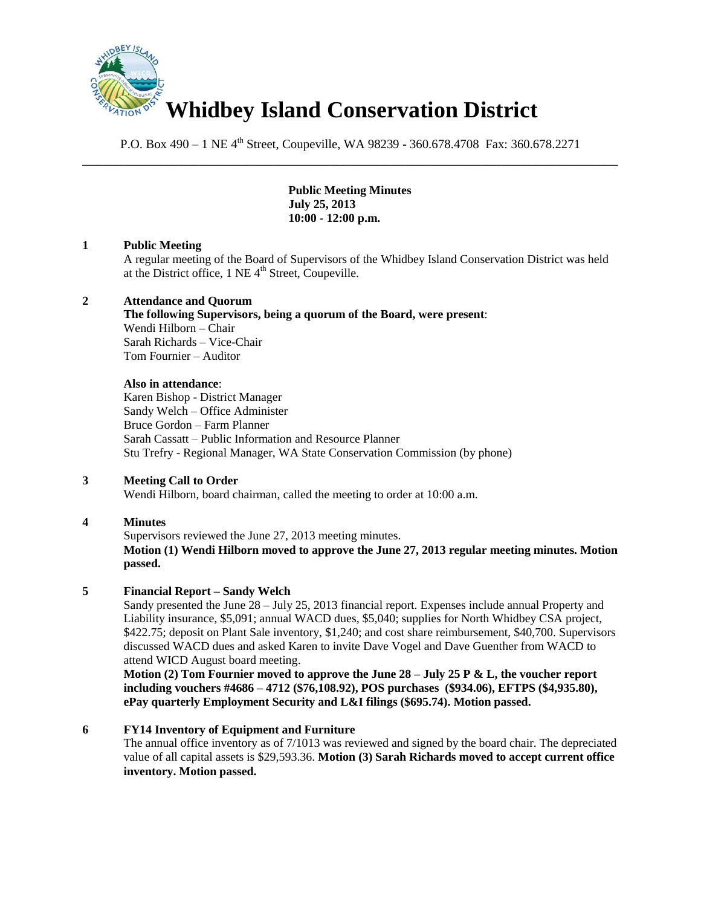

P.O. Box 490 – 1 NE 4<sup>th</sup> Street, Coupeville, WA 98239 - 360.678.4708 Fax: 360.678.2271 \_\_\_\_\_\_\_\_\_\_\_\_\_\_\_\_\_\_\_\_\_\_\_\_\_\_\_\_\_\_\_\_\_\_\_\_\_\_\_\_\_\_\_\_\_\_\_\_\_\_\_\_\_\_\_\_\_\_\_\_\_\_\_\_\_\_\_\_\_\_\_\_\_\_\_\_\_\_

> **Public Meeting Minutes July 25, 2013 10:00 - 12:00 p.m.**

## **1 Public Meeting**

A regular meeting of the Board of Supervisors of the Whidbey Island Conservation District was held at the District office,  $1$  NE  $4<sup>th</sup>$  Street, Coupeville.

## **2 Attendance and Quorum**

**The following Supervisors, being a quorum of the Board, were present**: Wendi Hilborn – Chair Sarah Richards – Vice-Chair Tom Fournier – Auditor

#### **Also in attendance**:

Karen Bishop - District Manager Sandy Welch – Office Administer Bruce Gordon – Farm Planner Sarah Cassatt – Public Information and Resource Planner Stu Trefry - Regional Manager, WA State Conservation Commission (by phone)

## **3 Meeting Call to Order**

Wendi Hilborn, board chairman, called the meeting to order at 10:00 a.m.

## **4 Minutes**

Supervisors reviewed the June 27, 2013 meeting minutes.

**Motion (1) Wendi Hilborn moved to approve the June 27, 2013 regular meeting minutes. Motion passed.**

## **5 Financial Report – Sandy Welch**

Sandy presented the June 28 – July 25, 2013 financial report. Expenses include annual Property and Liability insurance, \$5,091; annual WACD dues, \$5,040; supplies for North Whidbey CSA project, \$422.75; deposit on Plant Sale inventory, \$1,240; and cost share reimbursement, \$40,700. Supervisors discussed WACD dues and asked Karen to invite Dave Vogel and Dave Guenther from WACD to attend WICD August board meeting.

**Motion (2) Tom Fournier moved to approve the June 28 – July 25 P & L, the voucher report including vouchers #4686 – 4712 (\$76,108.92), POS purchases (\$934.06), EFTPS (\$4,935.80), ePay quarterly Employment Security and L&I filings (\$695.74). Motion passed.** 

## **6 FY14 Inventory of Equipment and Furniture**

The annual office inventory as of 7/1013 was reviewed and signed by the board chair. The depreciated value of all capital assets is \$29,593.36. **Motion (3) Sarah Richards moved to accept current office inventory. Motion passed.**